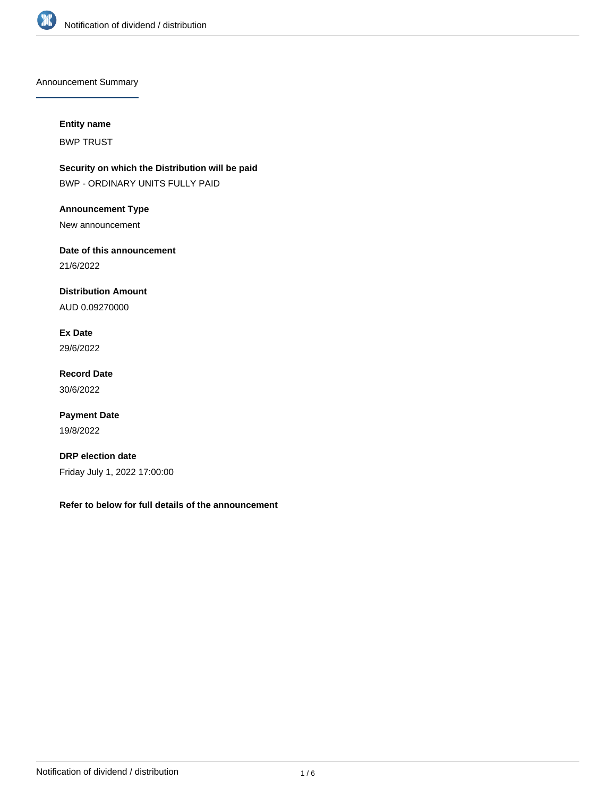

Announcement Summary

# **Entity name**

BWP TRUST

**Security on which the Distribution will be paid** BWP - ORDINARY UNITS FULLY PAID

**Announcement Type** New announcement

**Date of this announcement** 21/6/2022

**Distribution Amount**

AUD 0.09270000

**Ex Date** 29/6/2022

**Record Date** 30/6/2022

**Payment Date** 19/8/2022

**DRP election date** Friday July 1, 2022 17:00:00

**Refer to below for full details of the announcement**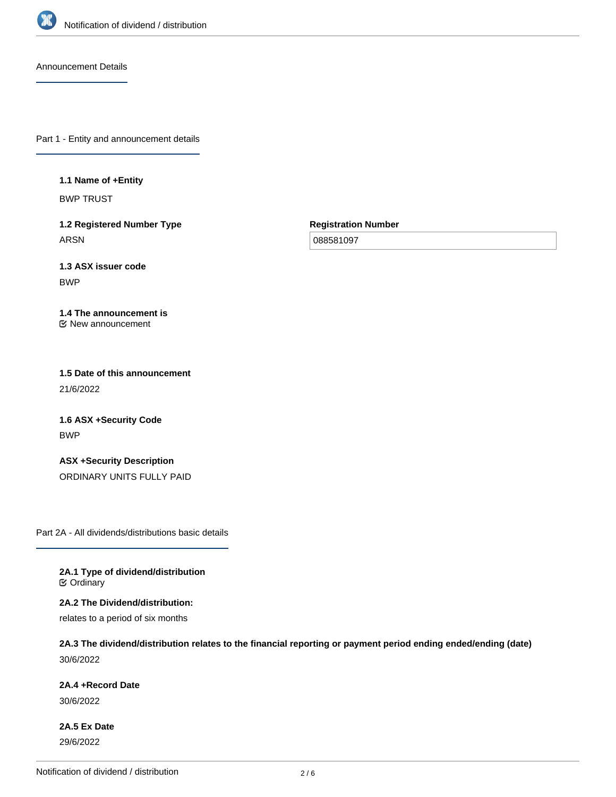

Announcement Details

Part 1 - Entity and announcement details

**1.1 Name of +Entity**

BWP TRUST

**1.2 Registered Number Type** ARSN

**Registration Number**

088581097

**1.3 ASX issuer code** BWP

**1.4 The announcement is** New announcement

**1.5 Date of this announcement** 21/6/2022

**1.6 ASX +Security Code** BWP

**ASX +Security Description** ORDINARY UNITS FULLY PAID

Part 2A - All dividends/distributions basic details

**2A.1 Type of dividend/distribution C** Ordinary

**2A.2 The Dividend/distribution:**

relates to a period of six months

**2A.3 The dividend/distribution relates to the financial reporting or payment period ending ended/ending (date)** 30/6/2022

**2A.4 +Record Date**

30/6/2022

**2A.5 Ex Date** 29/6/2022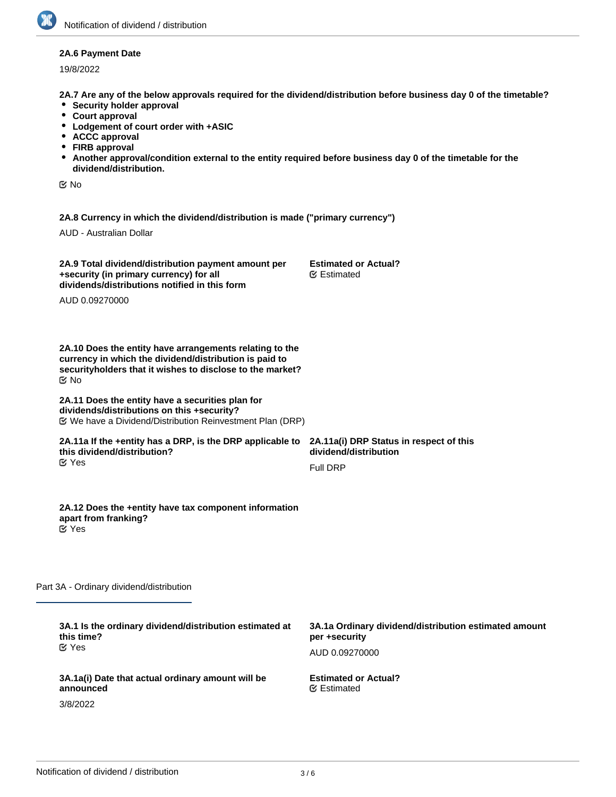## **2A.6 Payment Date**

19/8/2022

**2A.7 Are any of the below approvals required for the dividend/distribution before business day 0 of the timetable?**

- **•** Security holder approval
- **Court approval**
- **Lodgement of court order with +ASIC**
- **ACCC approval**
- **FIRB approval**
- **Another approval/condition external to the entity required before business day 0 of the timetable for the dividend/distribution.**

No

**2A.8 Currency in which the dividend/distribution is made ("primary currency")**

AUD - Australian Dollar

| 2A.9 Total dividend/distribution payment amount per | <b>Estimated of</b> |
|-----------------------------------------------------|---------------------|
| +security (in primary currency) for all             | <b></b> Estimated   |
| dividends/distributions notified in this form       |                     |

AUD 0.09270000

**2A.10 Does the entity have arrangements relating to the currency in which the dividend/distribution is paid to securityholders that it wishes to disclose to the market?** No

#### **2A.11 Does the entity have a securities plan for dividends/distributions on this +security?** We have a Dividend/Distribution Reinvestment Plan (DRP)

#### **2A.11a If the +entity has a DRP, is the DRP applicable to this dividend/distribution?** Yes

**2A.12 Does the +entity have tax component information**

**2A.11a(i) DRP Status in respect of this dividend/distribution** Full DRP

**Dr Actual?** 

Yes

Part 3A - Ordinary dividend/distribution

**apart from franking?**

| 3A.1 Is the ordinary dividend/distribution estimated at<br>this time?<br>$\mathfrak C$ Yes | 3A.1a Ordinary dividend/distribution estimated amount<br>per +security |
|--------------------------------------------------------------------------------------------|------------------------------------------------------------------------|
| 3A.1a(i) Date that actual ordinary amount will be                                          | AUD 0.09270000<br><b>Estimated or Actual?</b>                          |
| announced<br>3/8/2022                                                                      | <b></b> Estimated                                                      |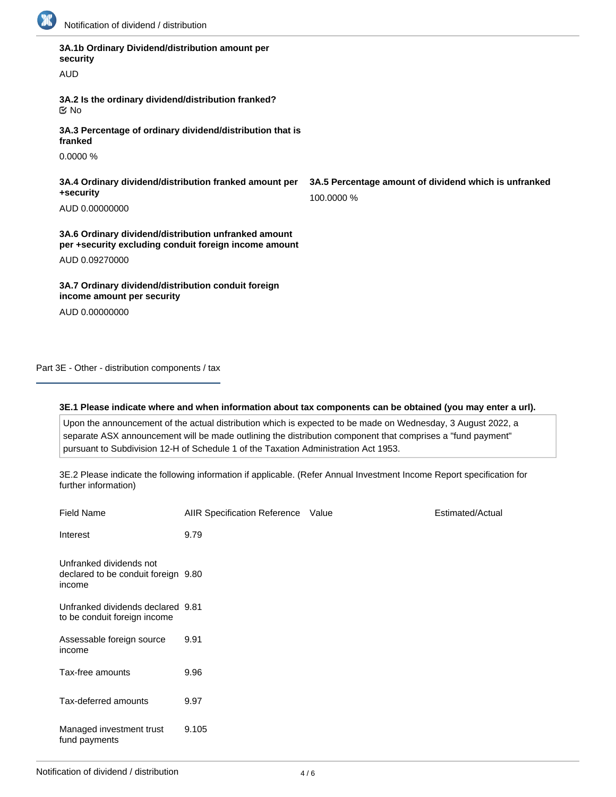

| 3A.1b Ordinary Dividend/distribution amount per<br>security<br><b>AUD</b>                                     |                                           |
|---------------------------------------------------------------------------------------------------------------|-------------------------------------------|
| 3A.2 Is the ordinary dividend/distribution franked?<br>় No                                                   |                                           |
| 3A.3 Percentage of ordinary dividend/distribution that is<br>franked                                          |                                           |
| 0.0000%                                                                                                       |                                           |
| 3A.4 Ordinary dividend/distribution franked amount per<br>+security<br>AUD 0.00000000                         | 3A.5 Percentage amount of d<br>100.0000 % |
| 3A.6 Ordinary dividend/distribution unfranked amount<br>per +security excluding conduit foreign income amount |                                           |
| AUD 0.09270000                                                                                                |                                           |
| 3A.7 Ordinary dividend/distribution conduit foreign<br>income amount per security                             |                                           |

AUD 0.00000000

**ividend which is unfranked** 

Part 3E - Other - distribution components / tax

## **3E.1 Please indicate where and when information about tax components can be obtained (you may enter a url).**

Upon the announcement of the actual distribution which is expected to be made on Wednesday, 3 August 2022, a separate ASX announcement will be made outlining the distribution component that comprises a "fund payment" pursuant to Subdivision 12-H of Schedule 1 of the Taxation Administration Act 1953.

3E.2 Please indicate the following information if applicable. (Refer Annual Investment Income Report specification for further information)

| <b>Field Name</b>                                                        | AIIR Specification Reference Value | Estimated/Actual |
|--------------------------------------------------------------------------|------------------------------------|------------------|
| Interest                                                                 | 9.79                               |                  |
| Unfranked dividends not<br>declared to be conduit foreign 9.80<br>income |                                    |                  |
| Unfranked dividends declared 9.81<br>to be conduit foreign income        |                                    |                  |
| Assessable foreign source<br>income                                      | 9.91                               |                  |
| Tax-free amounts                                                         | 9.96                               |                  |
| Tax-deferred amounts                                                     | 9.97                               |                  |
| Managed investment trust<br>fund payments                                | 9.105                              |                  |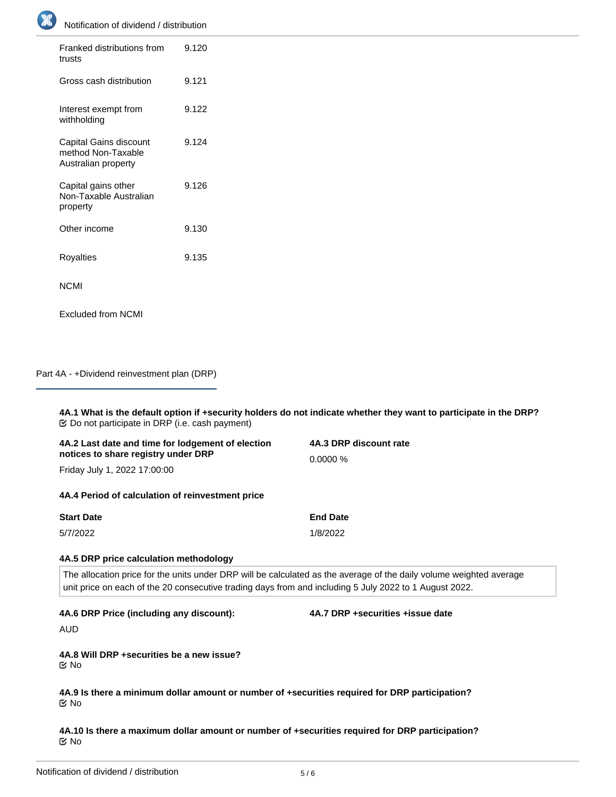

| Franked distributions from<br>trusts                                | 9.120 |
|---------------------------------------------------------------------|-------|
| Gross cash distribution                                             | 9.121 |
| Interest exempt from<br>withholding                                 | 9.122 |
| Capital Gains discount<br>method Non-Taxable<br>Australian property | 9.124 |
| Capital gains other<br>Non-Taxable Australian<br>property           | 9.126 |
| Other income                                                        | 9.130 |
| Royalties                                                           | 9.135 |
| NCMI                                                                |       |
| <b>Excluded from NCMI</b>                                           |       |

Part 4A - +Dividend reinvestment plan (DRP)

**4A.1 What is the default option if +security holders do not indicate whether they want to participate in the DRP?** Do not participate in DRP (i.e. cash payment)

| 4A.2 Last date and time for lodgement of election<br>notices to share registry under DRP<br>Friday July 1, 2022 17:00:00                                                                                                      | 4A.3 DRP discount rate<br>0.0000% |  |
|-------------------------------------------------------------------------------------------------------------------------------------------------------------------------------------------------------------------------------|-----------------------------------|--|
| 4A.4 Period of calculation of reinvestment price                                                                                                                                                                              |                                   |  |
| <b>Start Date</b>                                                                                                                                                                                                             | <b>End Date</b>                   |  |
| 5/7/2022                                                                                                                                                                                                                      | 1/8/2022                          |  |
| 4A.5 DRP price calculation methodology                                                                                                                                                                                        |                                   |  |
| The allocation price for the units under DRP will be calculated as the average of the daily volume weighted average<br>unit price on each of the 20 consecutive trading days from and including 5 July 2022 to 1 August 2022. |                                   |  |
| 4A.6 DRP Price (including any discount):                                                                                                                                                                                      | 4A.7 DRP +securities +issue date  |  |
| <b>AUD</b>                                                                                                                                                                                                                    |                                   |  |
| 4A.8 Will DRP +securities be a new issue?<br>$\propto$ No                                                                                                                                                                     |                                   |  |
| 4A.9 Is there a minimum dollar amount or number of +securities required for DRP participation?<br><b>Mo</b>                                                                                                                   |                                   |  |

**4A.10 Is there a maximum dollar amount or number of +securities required for DRP participation?** No